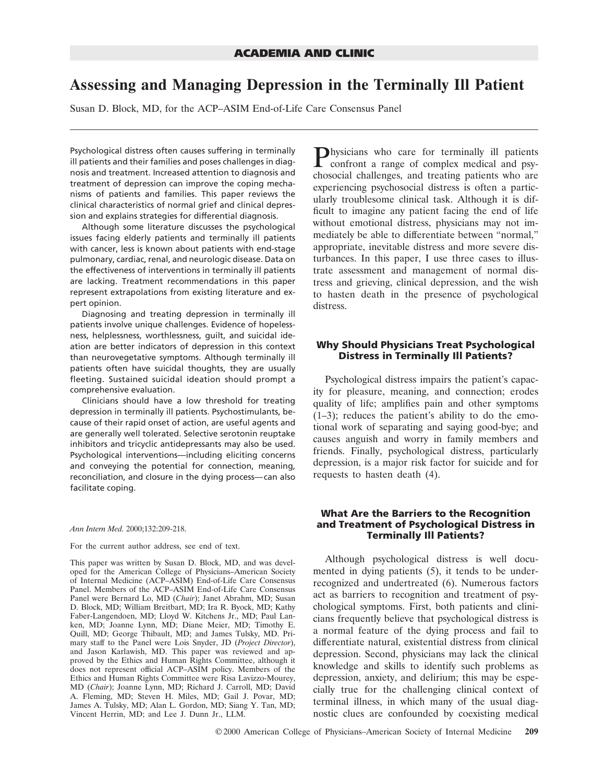# **Assessing and Managing Depression in the Terminally Ill Patient**

Susan D. Block, MD, for the ACP–ASIM End-of-Life Care Consensus Panel

Psychological distress often causes suffering in terminally ill patients and their families and poses challenges in diagnosis and treatment. Increased attention to diagnosis and treatment of depression can improve the coping mechanisms of patients and families. This paper reviews the clinical characteristics of normal grief and clinical depression and explains strategies for differential diagnosis.

Although some literature discusses the psychological issues facing elderly patients and terminally ill patients with cancer, less is known about patients with end-stage pulmonary, cardiac, renal, and neurologic disease. Data on the effectiveness of interventions in terminally ill patients are lacking. Treatment recommendations in this paper represent extrapolations from existing literature and expert opinion.

Diagnosing and treating depression in terminally ill patients involve unique challenges. Evidence of hopelessness, helplessness, worthlessness, guilt, and suicidal ideation are better indicators of depression in this context than neurovegetative symptoms. Although terminally ill patients often have suicidal thoughts, they are usually fleeting. Sustained suicidal ideation should prompt a comprehensive evaluation.

Clinicians should have a low threshold for treating depression in terminally ill patients. Psychostimulants, because of their rapid onset of action, are useful agents and are generally well tolerated. Selective serotonin reuptake inhibitors and tricyclic antidepressants may also be used. Psychological interventions—including eliciting concerns and conveying the potential for connection, meaning, reconciliation, and closure in the dying process—can also facilitate coping.

*Ann Intern Med.* 2000;132:209-218.

For the current author address, see end of text.

This paper was written by Susan D. Block, MD, and was developed for the American College of Physicians–American Society of Internal Medicine (ACP–ASIM) End-of-Life Care Consensus Panel. Members of the ACP–ASIM End-of-Life Care Consensus Panel were Bernard Lo, MD (*Chair*); Janet Abrahm, MD; Susan D. Block, MD; William Breitbart, MD; Ira R. Byock, MD; Kathy Faber-Langendoen, MD; Lloyd W. Kitchens Jr., MD; Paul Lanken, MD; Joanne Lynn, MD; Diane Meier, MD; Timothy E. Quill, MD; George Thibault, MD; and James Tulsky, MD. Primary staff to the Panel were Lois Snyder, JD (*Project Director*), and Jason Karlawish, MD. This paper was reviewed and approved by the Ethics and Human Rights Committee, although it does not represent official ACP–ASIM policy. Members of the Ethics and Human Rights Committee were Risa Lavizzo-Mourey, MD (*Chair*); Joanne Lynn, MD; Richard J. Carroll, MD; David A. Fleming, MD; Steven H. Miles, MD; Gail J. Povar, MD; James A. Tulsky, MD; Alan L. Gordon, MD; Siang Y. Tan, MD; Vincent Herrin, MD; and Lee J. Dunn Jr., LLM.

**Physicians** who care for terminally ill patients confront a range of complex medical and psychosocial challenges, and treating patients who are experiencing psychosocial distress is often a particularly troublesome clinical task. Although it is difficult to imagine any patient facing the end of life without emotional distress, physicians may not immediately be able to differentiate between "normal," appropriate, inevitable distress and more severe disturbances. In this paper, I use three cases to illustrate assessment and management of normal distress and grieving, clinical depression, and the wish to hasten death in the presence of psychological distress.

# **Why Should Physicians Treat Psychological Distress in Terminally Ill Patients?**

Psychological distress impairs the patient's capacity for pleasure, meaning, and connection; erodes quality of life; amplifies pain and other symptoms (1–3); reduces the patient's ability to do the emotional work of separating and saying good-bye; and causes anguish and worry in family members and friends. Finally, psychological distress, particularly depression, is a major risk factor for suicide and for requests to hasten death (4).

## **What Are the Barriers to the Recognition and Treatment of Psychological Distress in Terminally Ill Patients?**

Although psychological distress is well documented in dying patients (5), it tends to be underrecognized and undertreated (6). Numerous factors act as barriers to recognition and treatment of psychological symptoms. First, both patients and clinicians frequently believe that psychological distress is a normal feature of the dying process and fail to differentiate natural, existential distress from clinical depression. Second, physicians may lack the clinical knowledge and skills to identify such problems as depression, anxiety, and delirium; this may be especially true for the challenging clinical context of terminal illness, in which many of the usual diagnostic clues are confounded by coexisting medical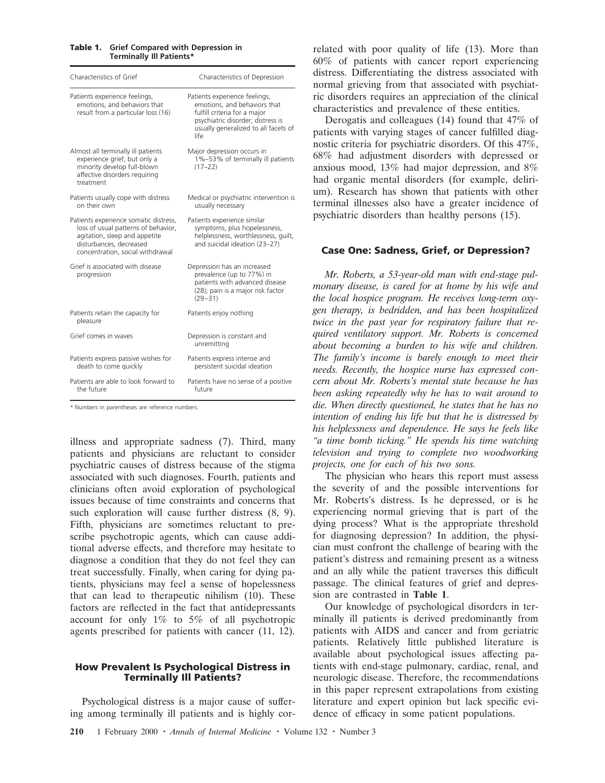| Table 1. Grief Compared with Depression in |
|--------------------------------------------|
| Terminally III Patients*                   |

| Characteristics of Grief                                                                                                                                                     | Characteristics of Depression                                                                                                                                                      |
|------------------------------------------------------------------------------------------------------------------------------------------------------------------------------|------------------------------------------------------------------------------------------------------------------------------------------------------------------------------------|
| Patients experience feelings,<br>emotions, and behaviors that<br>result from a particular loss (16)                                                                          | Patients experience feelings,<br>emotions, and behaviors that<br>fulfill criteria for a maior<br>psychiatric disorder; distress is<br>usually generalized to all facets of<br>life |
| Almost all terminally ill patients<br>experience grief, but only a<br>minority develop full-blown<br>affective disorders requiring<br>treatment                              | Major depression occurs in<br>1%-53% of terminally ill patients<br>$(17 - 22)$                                                                                                     |
| Patients usually cope with distress<br>on their own                                                                                                                          | Medical or psychiatric intervention is<br>usually necessary                                                                                                                        |
| Patients experience somatic distress,<br>loss of usual patterns of behavior,<br>agitation, sleep and appetite<br>disturbances, decreased<br>concentration, social withdrawal | Patients experience similar<br>symptoms, plus hopelessness,<br>helplessness, worthlessness, quilt,<br>and suicidal ideation (23-27)                                                |
| Grief is associated with disease<br>progression                                                                                                                              | Depression has an increased<br>prevalence (up to 77%) in<br>patients with advanced disease<br>(28); pain is a major risk factor<br>$(29 - 31)$                                     |
| Patients retain the capacity for<br>pleasure                                                                                                                                 | Patients enjoy nothing                                                                                                                                                             |
| Grief comes in waves                                                                                                                                                         | Depression is constant and<br>unremitting                                                                                                                                          |
| Patients express passive wishes for<br>death to come quickly                                                                                                                 | Patients express intense and<br>persistent suicidal ideation                                                                                                                       |
| Patients are able to look forward to<br>the future                                                                                                                           | Patients have no sense of a positive<br>future                                                                                                                                     |

\* Numbers in parentheses are reference numbers.

illness and appropriate sadness (7). Third, many patients and physicians are reluctant to consider psychiatric causes of distress because of the stigma associated with such diagnoses. Fourth, patients and clinicians often avoid exploration of psychological issues because of time constraints and concerns that such exploration will cause further distress (8, 9). Fifth, physicians are sometimes reluctant to prescribe psychotropic agents, which can cause additional adverse effects, and therefore may hesitate to diagnose a condition that they do not feel they can treat successfully. Finally, when caring for dying patients, physicians may feel a sense of hopelessness that can lead to therapeutic nihilism (10). These factors are reflected in the fact that antidepressants account for only 1% to 5% of all psychotropic agents prescribed for patients with cancer (11, 12).

### **How Prevalent Is Psychological Distress in Terminally Ill Patients?**

Psychological distress is a major cause of suffering among terminally ill patients and is highly correlated with poor quality of life (13). More than 60% of patients with cancer report experiencing distress. Differentiating the distress associated with normal grieving from that associated with psychiatric disorders requires an appreciation of the clinical characteristics and prevalence of these entities.

Derogatis and colleagues (14) found that 47% of patients with varying stages of cancer fulfilled diagnostic criteria for psychiatric disorders. Of this 47%, 68% had adjustment disorders with depressed or anxious mood, 13% had major depression, and 8% had organic mental disorders (for example, delirium). Research has shown that patients with other terminal illnesses also have a greater incidence of psychiatric disorders than healthy persons (15).

## **Case One: Sadness, Grief, or Depression?**

*Mr. Roberts, a 53-year-old man with end-stage pulmonary disease, is cared for at home by his wife and the local hospice program. He receives long-term oxygen therapy, is bedridden, and has been hospitalized twice in the past year for respiratory failure that required ventilatory support. Mr. Roberts is concerned about becoming a burden to his wife and children. The family's income is barely enough to meet their needs. Recently, the hospice nurse has expressed concern about Mr. Roberts's mental state because he has been asking repeatedly why he has to wait around to die. When directly questioned, he states that he has no intention of ending his life but that he is distressed by his helplessness and dependence. He says he feels like "a time bomb ticking." He spends his time watching television and trying to complete two woodworking projects, one for each of his two sons.*

The physician who hears this report must assess the severity of and the possible interventions for Mr. Roberts's distress. Is he depressed, or is he experiencing normal grieving that is part of the dying process? What is the appropriate threshold for diagnosing depression? In addition, the physician must confront the challenge of bearing with the patient's distress and remaining present as a witness and an ally while the patient traverses this difficult passage. The clinical features of grief and depression are contrasted in **Table 1**.

Our knowledge of psychological disorders in terminally ill patients is derived predominantly from patients with AIDS and cancer and from geriatric patients. Relatively little published literature is available about psychological issues affecting patients with end-stage pulmonary, cardiac, renal, and neurologic disease. Therefore, the recommendations in this paper represent extrapolations from existing literature and expert opinion but lack specific evidence of efficacy in some patient populations.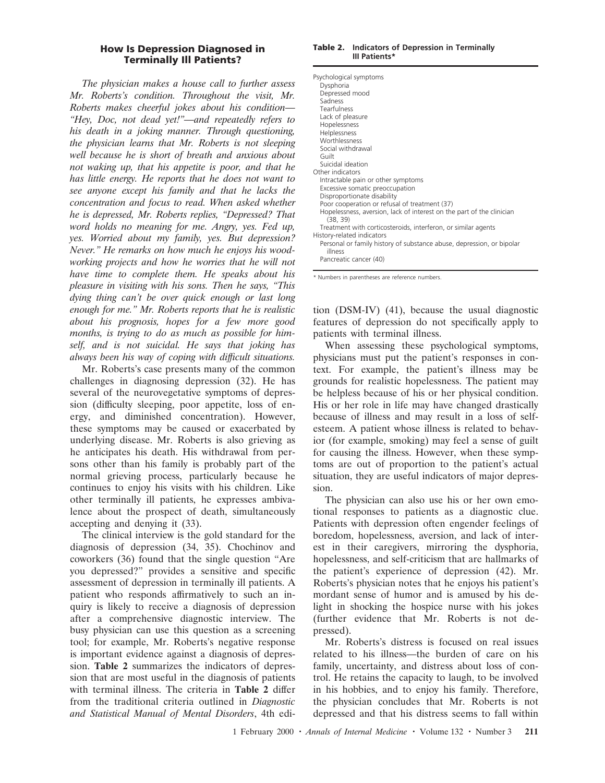## **How Is Depression Diagnosed in Terminally Ill Patients?**

*The physician makes a house call to further assess Mr. Roberts's condition. Throughout the visit, Mr. Roberts makes cheerful jokes about his condition— "Hey, Doc, not dead yet!"—and repeatedly refers to his death in a joking manner. Through questioning, the physician learns that Mr. Roberts is not sleeping well because he is short of breath and anxious about not waking up, that his appetite is poor, and that he has little energy. He reports that he does not want to see anyone except his family and that he lacks the concentration and focus to read. When asked whether he is depressed, Mr. Roberts replies, "Depressed? That word holds no meaning for me. Angry, yes. Fed up, yes. Worried about my family, yes. But depression? Never." He remarks on how much he enjoys his woodworking projects and how he worries that he will not have time to complete them. He speaks about his pleasure in visiting with his sons. Then he says, "This dying thing can't be over quick enough or last long enough for me." Mr. Roberts reports that he is realistic about his prognosis, hopes for a few more good months, is trying to do as much as possible for himself, and is not suicidal. He says that joking has always been his way of coping with difficult situations.*

Mr. Roberts's case presents many of the common challenges in diagnosing depression (32). He has several of the neurovegetative symptoms of depression (difficulty sleeping, poor appetite, loss of energy, and diminished concentration). However, these symptoms may be caused or exacerbated by underlying disease. Mr. Roberts is also grieving as he anticipates his death. His withdrawal from persons other than his family is probably part of the normal grieving process, particularly because he continues to enjoy his visits with his children. Like other terminally ill patients, he expresses ambivalence about the prospect of death, simultaneously accepting and denying it (33).

The clinical interview is the gold standard for the diagnosis of depression (34, 35). Chochinov and coworkers (36) found that the single question "Are you depressed?" provides a sensitive and specific assessment of depression in terminally ill patients. A patient who responds affirmatively to such an inquiry is likely to receive a diagnosis of depression after a comprehensive diagnostic interview. The busy physician can use this question as a screening tool; for example, Mr. Roberts's negative response is important evidence against a diagnosis of depression. **Table 2** summarizes the indicators of depression that are most useful in the diagnosis of patients with terminal illness. The criteria in **Table 2** differ from the traditional criteria outlined in *Diagnostic and Statistical Manual of Mental Disorders*, 4th edi-

#### **Table 2. Indicators of Depression in Terminally III Patients\***

| Psychological symptoms<br>Dysphoria<br>Depressed mood<br>Sadness<br>Tearfulness<br>Lack of pleasure<br>Hopelessness<br>Helplessness<br>Worthlessness<br>Social withdrawal<br>Guilt<br>Suicidal ideation                                                                                                                                                                                                                                                                     |  |
|-----------------------------------------------------------------------------------------------------------------------------------------------------------------------------------------------------------------------------------------------------------------------------------------------------------------------------------------------------------------------------------------------------------------------------------------------------------------------------|--|
| Other indicators<br>Intractable pain or other symptoms<br>Excessive somatic preoccupation<br>Disproportionate disability<br>Poor cooperation or refusal of treatment (37)<br>Hopelessness, aversion, lack of interest on the part of the clinician<br>(38, 39)<br>Treatment with corticosteroids, interferon, or similar agents<br>History-related indicators<br>Personal or family history of substance abuse, depression, or bipolar<br>illness<br>Pancreatic cancer (40) |  |

\* Numbers in parentheses are reference numbers.

tion (DSM-IV) (41), because the usual diagnostic features of depression do not specifically apply to patients with terminal illness.

When assessing these psychological symptoms, physicians must put the patient's responses in context. For example, the patient's illness may be grounds for realistic hopelessness. The patient may be helpless because of his or her physical condition. His or her role in life may have changed drastically because of illness and may result in a loss of selfesteem. A patient whose illness is related to behavior (for example, smoking) may feel a sense of guilt for causing the illness. However, when these symptoms are out of proportion to the patient's actual situation, they are useful indicators of major depression.

The physician can also use his or her own emotional responses to patients as a diagnostic clue. Patients with depression often engender feelings of boredom, hopelessness, aversion, and lack of interest in their caregivers, mirroring the dysphoria, hopelessness, and self-criticism that are hallmarks of the patient's experience of depression (42). Mr. Roberts's physician notes that he enjoys his patient's mordant sense of humor and is amused by his delight in shocking the hospice nurse with his jokes (further evidence that Mr. Roberts is not depressed).

Mr. Roberts's distress is focused on real issues related to his illness—the burden of care on his family, uncertainty, and distress about loss of control. He retains the capacity to laugh, to be involved in his hobbies, and to enjoy his family. Therefore, the physician concludes that Mr. Roberts is not depressed and that his distress seems to fall within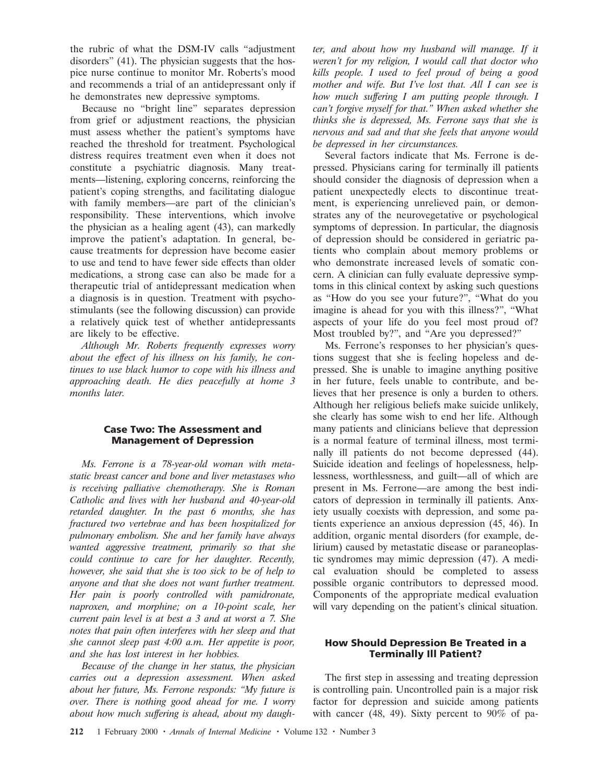the rubric of what the DSM-IV calls "adjustment disorders" (41). The physician suggests that the hospice nurse continue to monitor Mr. Roberts's mood and recommends a trial of an antidepressant only if he demonstrates new depressive symptoms.

Because no "bright line" separates depression from grief or adjustment reactions, the physician must assess whether the patient's symptoms have reached the threshold for treatment. Psychological distress requires treatment even when it does not constitute a psychiatric diagnosis. Many treatments—listening, exploring concerns, reinforcing the patient's coping strengths, and facilitating dialogue with family members—are part of the clinician's responsibility. These interventions, which involve the physician as a healing agent (43), can markedly improve the patient's adaptation. In general, because treatments for depression have become easier to use and tend to have fewer side effects than older medications, a strong case can also be made for a therapeutic trial of antidepressant medication when a diagnosis is in question. Treatment with psychostimulants (see the following discussion) can provide a relatively quick test of whether antidepressants are likely to be effective.

*Although Mr. Roberts frequently expresses worry about the effect of his illness on his family, he continues to use black humor to cope with his illness and approaching death. He dies peacefully at home 3 months later.*

# **Case Two: The Assessment and Management of Depression**

*Ms. Ferrone is a 78-year-old woman with metastatic breast cancer and bone and liver metastases who is receiving palliative chemotherapy. She is Roman Catholic and lives with her husband and 40-year-old retarded daughter. In the past 6 months, she has fractured two vertebrae and has been hospitalized for pulmonary embolism. She and her family have always wanted aggressive treatment, primarily so that she could continue to care for her daughter. Recently, however, she said that she is too sick to be of help to anyone and that she does not want further treatment. Her pain is poorly controlled with pamidronate, naproxen, and morphine; on a 10-point scale, her current pain level is at best a 3 and at worst a 7. She notes that pain often interferes with her sleep and that she cannot sleep past 4:00 a.m. Her appetite is poor, and she has lost interest in her hobbies.*

*Because of the change in her status, the physician carries out a depression assessment. When asked about her future, Ms. Ferrone responds: "My future is over. There is nothing good ahead for me. I worry about how much suffering is ahead, about my daugh-*

*ter, and about how my husband will manage. If it weren't for my religion, I would call that doctor who kills people. I used to feel proud of being a good mother and wife. But I've lost that. All I can see is how much suffering I am putting people through. I can't forgive myself for that." When asked whether she thinks she is depressed, Ms. Ferrone says that she is nervous and sad and that she feels that anyone would be depressed in her circumstances.*

Several factors indicate that Ms. Ferrone is depressed. Physicians caring for terminally ill patients should consider the diagnosis of depression when a patient unexpectedly elects to discontinue treatment, is experiencing unrelieved pain, or demonstrates any of the neurovegetative or psychological symptoms of depression. In particular, the diagnosis of depression should be considered in geriatric patients who complain about memory problems or who demonstrate increased levels of somatic concern. A clinician can fully evaluate depressive symptoms in this clinical context by asking such questions as "How do you see your future?", "What do you imagine is ahead for you with this illness?", "What aspects of your life do you feel most proud of? Most troubled by?", and "Are you depressed?"

Ms. Ferrone's responses to her physician's questions suggest that she is feeling hopeless and depressed. She is unable to imagine anything positive in her future, feels unable to contribute, and believes that her presence is only a burden to others. Although her religious beliefs make suicide unlikely, she clearly has some wish to end her life. Although many patients and clinicians believe that depression is a normal feature of terminal illness, most terminally ill patients do not become depressed (44). Suicide ideation and feelings of hopelessness, helplessness, worthlessness, and guilt—all of which are present in Ms. Ferrone—are among the best indicators of depression in terminally ill patients. Anxiety usually coexists with depression, and some patients experience an anxious depression (45, 46). In addition, organic mental disorders (for example, delirium) caused by metastatic disease or paraneoplastic syndromes may mimic depression (47). A medical evaluation should be completed to assess possible organic contributors to depressed mood. Components of the appropriate medical evaluation will vary depending on the patient's clinical situation.

# **How Should Depression Be Treated in a Terminally Ill Patient?**

The first step in assessing and treating depression is controlling pain. Uncontrolled pain is a major risk factor for depression and suicide among patients with cancer (48, 49). Sixty percent to 90% of pa-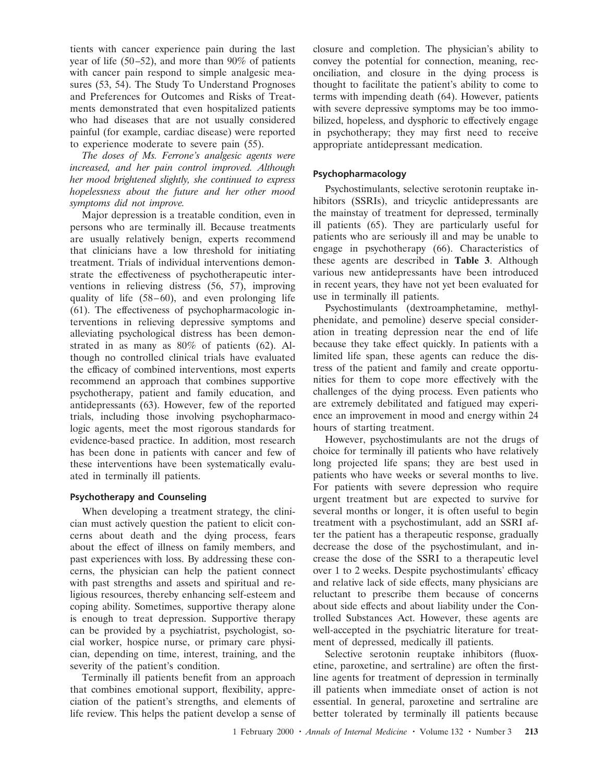tients with cancer experience pain during the last year of life (50–52), and more than 90% of patients with cancer pain respond to simple analgesic measures (53, 54). The Study To Understand Prognoses and Preferences for Outcomes and Risks of Treatments demonstrated that even hospitalized patients who had diseases that are not usually considered painful (for example, cardiac disease) were reported to experience moderate to severe pain (55).

*The doses of Ms. Ferrone's analgesic agents were increased, and her pain control improved. Although her mood brightened slightly, she continued to express hopelessness about the future and her other mood symptoms did not improve.*

Major depression is a treatable condition, even in persons who are terminally ill. Because treatments are usually relatively benign, experts recommend that clinicians have a low threshold for initiating treatment. Trials of individual interventions demonstrate the effectiveness of psychotherapeutic interventions in relieving distress (56, 57), improving quality of life  $(58-60)$ , and even prolonging life (61). The effectiveness of psychopharmacologic interventions in relieving depressive symptoms and alleviating psychological distress has been demonstrated in as many as 80% of patients (62). Although no controlled clinical trials have evaluated the efficacy of combined interventions, most experts recommend an approach that combines supportive psychotherapy, patient and family education, and antidepressants (63). However, few of the reported trials, including those involving psychopharmacologic agents, meet the most rigorous standards for evidence-based practice. In addition, most research has been done in patients with cancer and few of these interventions have been systematically evaluated in terminally ill patients.

# **Psychotherapy and Counseling**

When developing a treatment strategy, the clinician must actively question the patient to elicit concerns about death and the dying process, fears about the effect of illness on family members, and past experiences with loss. By addressing these concerns, the physician can help the patient connect with past strengths and assets and spiritual and religious resources, thereby enhancing self-esteem and coping ability. Sometimes, supportive therapy alone is enough to treat depression. Supportive therapy can be provided by a psychiatrist, psychologist, social worker, hospice nurse, or primary care physician, depending on time, interest, training, and the severity of the patient's condition.

Terminally ill patients benefit from an approach that combines emotional support, flexibility, appreciation of the patient's strengths, and elements of life review. This helps the patient develop a sense of closure and completion. The physician's ability to convey the potential for connection, meaning, reconciliation, and closure in the dying process is thought to facilitate the patient's ability to come to terms with impending death (64). However, patients with severe depressive symptoms may be too immobilized, hopeless, and dysphoric to effectively engage in psychotherapy; they may first need to receive appropriate antidepressant medication.

# **Psychopharmacology**

Psychostimulants, selective serotonin reuptake inhibitors (SSRIs), and tricyclic antidepressants are the mainstay of treatment for depressed, terminally ill patients (65). They are particularly useful for patients who are seriously ill and may be unable to engage in psychotherapy (66). Characteristics of these agents are described in **Table 3**. Although various new antidepressants have been introduced in recent years, they have not yet been evaluated for use in terminally ill patients.

Psychostimulants (dextroamphetamine, methylphenidate, and pemoline) deserve special consideration in treating depression near the end of life because they take effect quickly. In patients with a limited life span, these agents can reduce the distress of the patient and family and create opportunities for them to cope more effectively with the challenges of the dying process. Even patients who are extremely debilitated and fatigued may experience an improvement in mood and energy within 24 hours of starting treatment.

However, psychostimulants are not the drugs of choice for terminally ill patients who have relatively long projected life spans; they are best used in patients who have weeks or several months to live. For patients with severe depression who require urgent treatment but are expected to survive for several months or longer, it is often useful to begin treatment with a psychostimulant, add an SSRI after the patient has a therapeutic response, gradually decrease the dose of the psychostimulant, and increase the dose of the SSRI to a therapeutic level over 1 to 2 weeks. Despite psychostimulants' efficacy and relative lack of side effects, many physicians are reluctant to prescribe them because of concerns about side effects and about liability under the Controlled Substances Act. However, these agents are well-accepted in the psychiatric literature for treatment of depressed, medically ill patients.

Selective serotonin reuptake inhibitors (fluoxetine, paroxetine, and sertraline) are often the firstline agents for treatment of depression in terminally ill patients when immediate onset of action is not essential. In general, paroxetine and sertraline are better tolerated by terminally ill patients because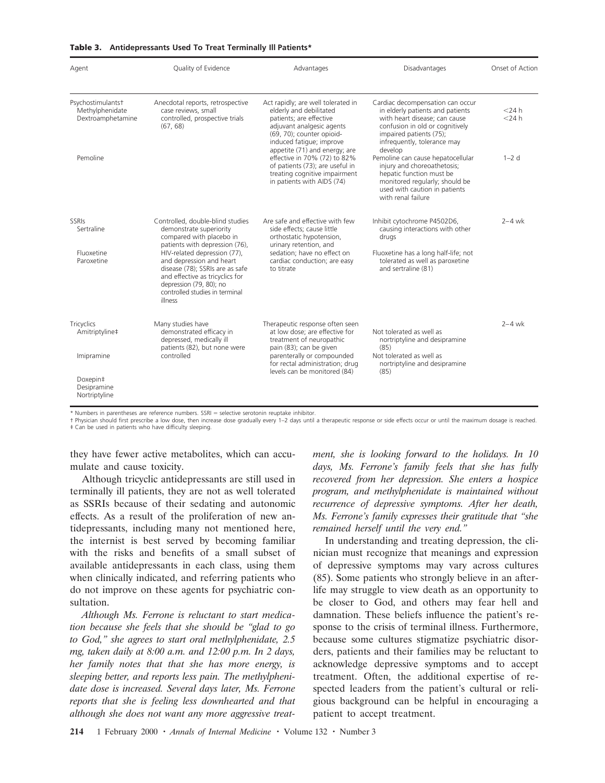| Agent                                                                                  | Quality of Evidence                                                                                                                                                                                                                                                                                                                 | Advantages                                                                                                                                                                                                                | Disadvantages                                                                                                                                                                                      | Onset of Action      |
|----------------------------------------------------------------------------------------|-------------------------------------------------------------------------------------------------------------------------------------------------------------------------------------------------------------------------------------------------------------------------------------------------------------------------------------|---------------------------------------------------------------------------------------------------------------------------------------------------------------------------------------------------------------------------|----------------------------------------------------------------------------------------------------------------------------------------------------------------------------------------------------|----------------------|
| Psychostimulants+<br>Methylphenidate<br>Dextroamphetamine                              | Anecdotal reports, retrospective<br>case reviews, small<br>controlled, prospective trials<br>(67, 68)                                                                                                                                                                                                                               | Act rapidly; are well tolerated in<br>elderly and debilitated<br>patients; are effective<br>adjuvant analgesic agents<br>(69, 70); counter opioid-<br>induced fatigue; improve                                            | Cardiac decompensation can occur<br>in elderly patients and patients<br>with heart disease; can cause<br>confusion in old or cognitively<br>impaired patients (75);<br>infrequently, tolerance may | $<$ 24 h<br>$<$ 24 h |
| Pemoline                                                                               |                                                                                                                                                                                                                                                                                                                                     | appetite (71) and energy; are<br>effective in 70% (72) to 82%<br>of patients (73); are useful in<br>treating cognitive impairment<br>in patients with AIDS (74)                                                           | develop<br>Pemoline can cause hepatocellular<br>injury and choreoathetosis;<br>hepatic function must be<br>monitored regularly; should be<br>used with caution in patients<br>with renal failure   | $1-2d$               |
| <b>SSRIS</b><br>Sertraline<br>Fluoxetine<br>Paroxetine                                 | Controlled, double-blind studies<br>demonstrate superiority<br>compared with placebo in<br>patients with depression (76),<br>HIV-related depression (77),<br>and depression and heart<br>disease (78); SSRIs are as safe<br>and effective as tricyclics for<br>depression (79, 80); no<br>controlled studies in terminal<br>illness | Are safe and effective with few<br>side effects; cause little<br>orthostatic hypotension,<br>urinary retention, and<br>sedation; have no effect on<br>cardiac conduction; are easy<br>to titrate                          | Inhibit cytochrome P4502D6,<br>causing interactions with other<br>drugs<br>Fluoxetine has a long half-life; not<br>tolerated as well as paroxetine<br>and sertraline (81)                          | $2-4$ wk             |
| Tricyclics<br>Amitriptyline‡<br>Imipramine<br>Doxepin‡<br>Desipramine<br>Nortriptyline | Many studies have<br>demonstrated efficacy in<br>depressed, medically ill<br>patients (82), but none were<br>controlled                                                                                                                                                                                                             | Therapeutic response often seen<br>at low dose: are effective for<br>treatment of neuropathic<br>pain (83); can be given<br>parenterally or compounded<br>for rectal administration; drug<br>levels can be monitored (84) | Not tolerated as well as<br>nortriptyline and desipramine<br>(85)<br>Not tolerated as well as<br>nortriptyline and desipramine<br>(85)                                                             | $2 - 4$ wk           |

#### **Table 3. Antidepressants Used To Treat Terminally Ill Patients\***

 $*$  Numbers in parentheses are reference numbers. SSRI = selective serotonin reuptake inhibitor.

† Physician should first prescribe a low dose, then increase dose gradually every 1–2 days until a therapeutic response or side effects occur or until the maximum dosage is reached. ‡ Can be used in patients who have difficulty sleeping.

they have fewer active metabolites, which can accumulate and cause toxicity.

Although tricyclic antidepressants are still used in terminally ill patients, they are not as well tolerated as SSRIs because of their sedating and autonomic effects. As a result of the proliferation of new antidepressants, including many not mentioned here, the internist is best served by becoming familiar with the risks and benefits of a small subset of available antidepressants in each class, using them when clinically indicated, and referring patients who do not improve on these agents for psychiatric consultation.

*Although Ms. Ferrone is reluctant to start medication because she feels that she should be "glad to go to God," she agrees to start oral methylphenidate, 2.5 mg, taken daily at 8:00 a.m. and 12:00 p.m. In 2 days, her family notes that that she has more energy, is sleeping better, and reports less pain. The methylphenidate dose is increased. Several days later, Ms. Ferrone reports that she is feeling less downhearted and that although she does not want any more aggressive treat-*

*ment, she is looking forward to the holidays. In 10 days, Ms. Ferrone's family feels that she has fully recovered from her depression. She enters a hospice program, and methylphenidate is maintained without recurrence of depressive symptoms. After her death, Ms. Ferrone's family expresses their gratitude that "she remained herself until the very end."*

In understanding and treating depression, the clinician must recognize that meanings and expression of depressive symptoms may vary across cultures (85). Some patients who strongly believe in an afterlife may struggle to view death as an opportunity to be closer to God, and others may fear hell and damnation. These beliefs influence the patient's response to the crisis of terminal illness. Furthermore, because some cultures stigmatize psychiatric disorders, patients and their families may be reluctant to acknowledge depressive symptoms and to accept treatment. Often, the additional expertise of respected leaders from the patient's cultural or religious background can be helpful in encouraging a patient to accept treatment.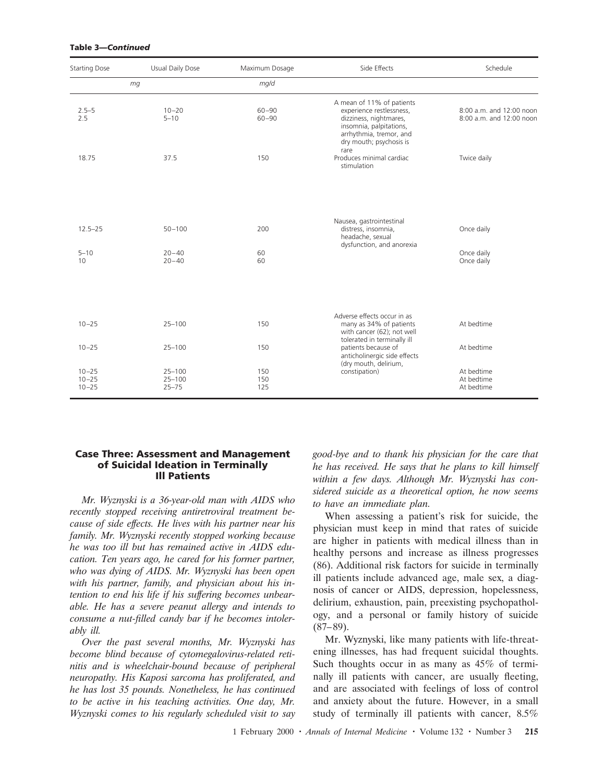| <b>Starting Dose</b>                | Usual Daily Dose                      | Maximum Dosage         | Side Effects                                                                                                                                                                                                         | Schedule                                             |
|-------------------------------------|---------------------------------------|------------------------|----------------------------------------------------------------------------------------------------------------------------------------------------------------------------------------------------------------------|------------------------------------------------------|
|                                     | mg                                    | mq/d                   |                                                                                                                                                                                                                      |                                                      |
| $2.5 - 5$<br>2.5                    | $10 - 20$<br>$5 - 10$                 | $60 - 90$<br>$60 - 90$ | A mean of 11% of patients<br>experience restlessness,<br>dizziness, nightmares,<br>insomnia, palpitations,<br>arrhythmia, tremor, and<br>dry mouth; psychosis is                                                     | 8:00 a.m. and 12:00 noon<br>8:00 a.m. and 12:00 noon |
| 18.75                               | 37.5                                  | 150                    | rare<br>Produces minimal cardiac<br>stimulation                                                                                                                                                                      | Twice daily                                          |
|                                     |                                       |                        |                                                                                                                                                                                                                      |                                                      |
| $12.5 - 25$                         | $50 - 100$                            | 200                    | Nausea, gastrointestinal<br>distress, insomnia,<br>headache, sexual                                                                                                                                                  | Once daily                                           |
| $5 - 10$<br>10                      | $20 - 40$<br>$20 - 40$                | 60<br>60               | dysfunction, and anorexia                                                                                                                                                                                            | Once daily<br>Once daily                             |
|                                     |                                       |                        |                                                                                                                                                                                                                      |                                                      |
| $10 - 25$                           | $25 - 100$                            | 150                    | Adverse effects occur in as<br>many as 34% of patients<br>with cancer (62); not well<br>tolerated in terminally ill<br>patients because of<br>anticholinergic side effects<br>(dry mouth, delirium,<br>constipation) | At bedtime                                           |
| $10 - 25$                           | $25 - 100$                            | 150                    |                                                                                                                                                                                                                      | At bedtime                                           |
| $10 - 25$<br>$10 - 25$<br>$10 - 25$ | $25 - 100$<br>$25 - 100$<br>$25 - 75$ | 150<br>150<br>125      |                                                                                                                                                                                                                      | At bedtime<br>At bedtime<br>At bedtime               |

#### **Table 3—***Continued*

### **Case Three: Assessment and Management of Suicidal Ideation in Terminally Ill Patients**

*Mr. Wyznyski is a 36-year-old man with AIDS who recently stopped receiving antiretroviral treatment because of side effects. He lives with his partner near his family. Mr. Wyznyski recently stopped working because he was too ill but has remained active in AIDS education. Ten years ago, he cared for his former partner, who was dying of AIDS. Mr. Wyznyski has been open with his partner, family, and physician about his intention to end his life if his suffering becomes unbearable. He has a severe peanut allergy and intends to consume a nut-filled candy bar if he becomes intolerably ill.*

*Over the past several months, Mr. Wyznyski has become blind because of cytomegalovirus-related retinitis and is wheelchair-bound because of peripheral neuropathy. His Kaposi sarcoma has proliferated, and he has lost 35 pounds. Nonetheless, he has continued to be active in his teaching activities. One day, Mr. Wyznyski comes to his regularly scheduled visit to say* *good-bye and to thank his physician for the care that he has received. He says that he plans to kill himself within a few days. Although Mr. Wyznyski has considered suicide as a theoretical option, he now seems to have an immediate plan.*

When assessing a patient's risk for suicide, the physician must keep in mind that rates of suicide are higher in patients with medical illness than in healthy persons and increase as illness progresses (86). Additional risk factors for suicide in terminally ill patients include advanced age, male sex, a diagnosis of cancer or AIDS, depression, hopelessness, delirium, exhaustion, pain, preexisting psychopathology, and a personal or family history of suicide (87–89).

Mr. Wyznyski, like many patients with life-threatening illnesses, has had frequent suicidal thoughts. Such thoughts occur in as many as 45% of terminally ill patients with cancer, are usually fleeting, and are associated with feelings of loss of control and anxiety about the future. However, in a small study of terminally ill patients with cancer, 8.5%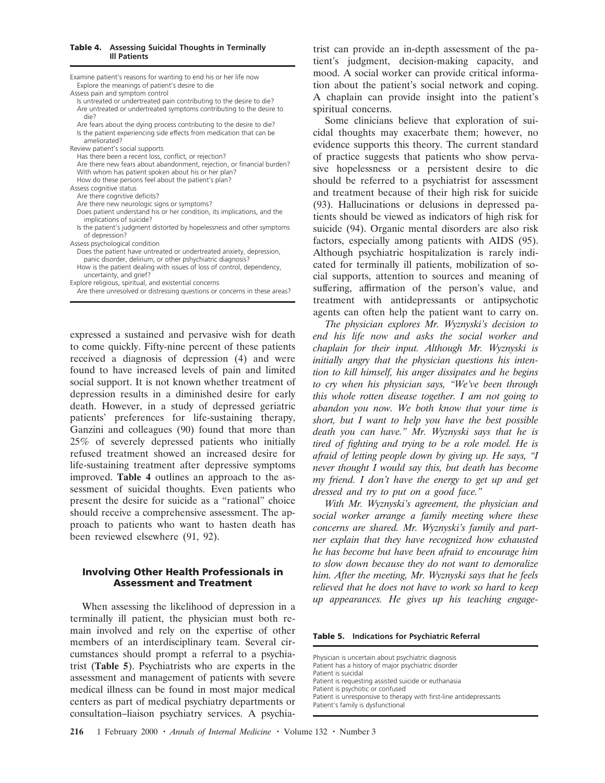#### **Table 4. Assessing Suicidal Thoughts in Terminally Ill Patients**

Examine patient's reasons for wanting to end his or her life now Explore the meanings of patient's desire to die Assess pain and symptom control

- Is untreated or undertreated pain contributing to the desire to die? Are untreated or undertreated symptoms contributing to the desire to die?
- Are fears about the dying process contributing to the desire to die? Is the patient experiencing side effects from medication that can be ameliorated?

Review patient's social supports

Has there been a recent loss, conflict, or rejection?

Are there new fears about abandonment, rejection, or financial burden? With whom has patient spoken about his or her plan?

How do these persons feel about the patient's plan?

Assess cognitive status Are there cognitive deficits?

- Are there new neurologic signs or symptoms?
- 
- Does patient understand his or her condition, its implications, and the implications of suicide?
- Is the patient's judgment distorted by hopelessness and other symptoms of depression?

Assess psychological condition

Does the patient have untreated or undertreated anxiety, depression, panic disorder, delirium, or other pshychiatric diagnosis?

How is the patient dealing with issues of loss of control, dependency, uncertainty, and grief?

Explore religious, spiritual, and existential concerns

Are there unresolved or distressing questions or concerns in these areas?

expressed a sustained and pervasive wish for death to come quickly. Fifty-nine percent of these patients received a diagnosis of depression (4) and were found to have increased levels of pain and limited social support. It is not known whether treatment of depression results in a diminished desire for early death. However, in a study of depressed geriatric patients' preferences for life-sustaining therapy, Ganzini and colleagues (90) found that more than 25% of severely depressed patients who initially refused treatment showed an increased desire for life-sustaining treatment after depressive symptoms improved. **Table 4** outlines an approach to the assessment of suicidal thoughts. Even patients who present the desire for suicide as a "rational" choice should receive a comprehensive assessment. The approach to patients who want to hasten death has been reviewed elsewhere (91, 92).

# **Involving Other Health Professionals in Assessment and Treatment**

When assessing the likelihood of depression in a terminally ill patient, the physician must both remain involved and rely on the expertise of other members of an interdisciplinary team. Several circumstances should prompt a referral to a psychiatrist (**Table 5**). Psychiatrists who are experts in the assessment and management of patients with severe medical illness can be found in most major medical centers as part of medical psychiatry departments or consultation–liaison psychiatry services. A psychiatrist can provide an in-depth assessment of the patient's judgment, decision-making capacity, and mood. A social worker can provide critical information about the patient's social network and coping. A chaplain can provide insight into the patient's spiritual concerns.

Some clinicians believe that exploration of suicidal thoughts may exacerbate them; however, no evidence supports this theory. The current standard of practice suggests that patients who show pervasive hopelessness or a persistent desire to die should be referred to a psychiatrist for assessment and treatment because of their high risk for suicide (93). Hallucinations or delusions in depressed patients should be viewed as indicators of high risk for suicide (94). Organic mental disorders are also risk factors, especially among patients with AIDS (95). Although psychiatric hospitalization is rarely indicated for terminally ill patients, mobilization of social supports, attention to sources and meaning of suffering, affirmation of the person's value, and treatment with antidepressants or antipsychotic agents can often help the patient want to carry on.

*The physician explores Mr. Wyznyski's decision to end his life now and asks the social worker and chaplain for their input. Although Mr. Wyznyski is initially angry that the physician questions his intention to kill himself, his anger dissipates and he begins to cry when his physician says, "We've been through this whole rotten disease together. I am not going to abandon you now. We both know that your time is short, but I want to help you have the best possible death you can have." Mr. Wyznyski says that he is tired of fighting and trying to be a role model. He is afraid of letting people down by giving up. He says, "I never thought I would say this, but death has become my friend. I don't have the energy to get up and get dressed and try to put on a good face."*

*With Mr. Wyznyski's agreement, the physician and social worker arrange a family meeting where these concerns are shared. Mr. Wyznyski's family and partner explain that they have recognized how exhausted he has become but have been afraid to encourage him to slow down because they do not want to demoralize him. After the meeting, Mr. Wyznyski says that he feels relieved that he does not have to work so hard to keep up appearances. He gives up his teaching engage-*

**Table 5. Indications for Psychiatric Referral**

Physician is uncertain about psychiatric diagnosis Patient has a history of major psychiatric disorder Patient is suicidal Patient is requesting assisted suicide or euthanasia Patient is psychotic or confused Patient is unresponsive to therapy with first-line antidepressants Patient's family is dysfunctional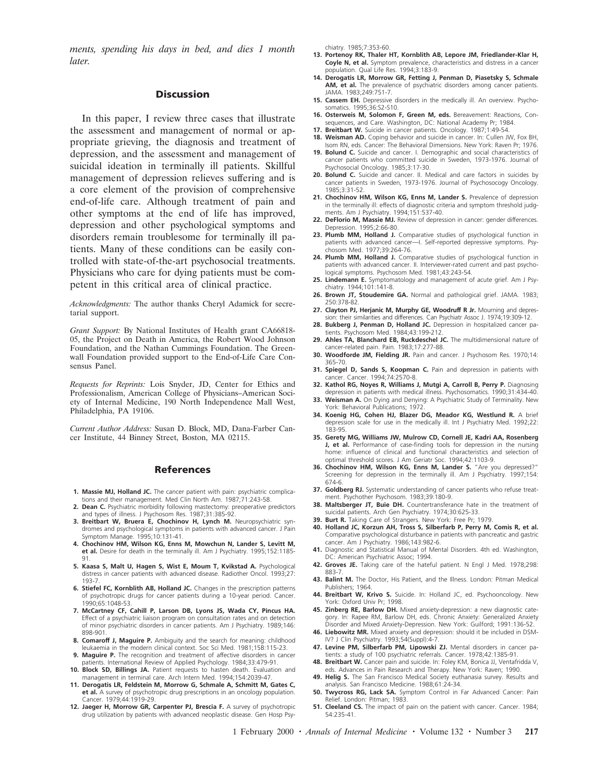*ments, spending his days in bed, and dies 1 month later.*

### **Discussion**

In this paper, I review three cases that illustrate the assessment and management of normal or appropriate grieving, the diagnosis and treatment of depression, and the assessment and management of suicidal ideation in terminally ill patients. Skillful management of depression relieves suffering and is a core element of the provision of comprehensive end-of-life care. Although treatment of pain and other symptoms at the end of life has improved, depression and other psychological symptoms and disorders remain troublesome for terminally ill patients. Many of these conditions can be easily controlled with state-of-the-art psychosocial treatments. Physicians who care for dying patients must be competent in this critical area of clinical practice.

*Acknowledgments:* The author thanks Cheryl Adamick for secretarial support.

*Grant Support:* By National Institutes of Health grant CA66818- 05, the Project on Death in America, the Robert Wood Johnson Foundation, and the Nathan Cummings Foundation. The Greenwall Foundation provided support to the End-of-Life Care Consensus Panel.

*Requests for Reprints:* Lois Snyder, JD, Center for Ethics and Professionalism, American College of Physicians–American Society of Internal Medicine, 190 North Independence Mall West, Philadelphia, PA 19106.

*Current Author Address:* Susan D. Block, MD, Dana-Farber Cancer Institute, 44 Binney Street, Boston, MA 02115.

### **References**

- **1. Massie MJ, Holland JC.** The cancer patient with pain: psychiatric complications and their management. Med Clin North Am. 1987;71:243-58.
- **2. Dean C.** Psychiatric morbidity following mastectomy: preoperative predictors and types of illness. J Psychosom Res. 1987;31:385-92.
- **3. Breitbart W, Bruera E, Chochinov H, Lynch M.** Neuropsychiatric syndromes and psychological symptoms in patients with advanced cancer. J Pain Symptom Manage. 1995;10:131-41.
- **4. Chochinov HM, Wilson KG, Enns M, Mowchun N, Lander S, Levitt M, et al.** Desire for death in the terminally ill. Am J Psychiatry. 1995;152:1185- 91.
- **5. Kaasa S, Malt U, Hagen S, Wist E, Moum T, Kvikstad A.** Psychological distress in cancer patients with advanced disease. Radiother Oncol. 1993;27: 193-7.
- **6. Stiefel FC, Kornblith AB, Holland JC.** Changes in the prescription patterns of psychotropic drugs for cancer patients during a 10-year period. Cancer. 1990;65:1048-53.
- **7. McCartney CF, Cahill P, Larson DB, Lyons JS, Wada CY, Pincus HA.** Effect of a psychiatric liaison program on consultation rates and on detection of minor psychiatric disorders in cancer patients. Am J Psychiatry. 1989;146: 898-901.
- **8. Comaroff J, Maguire P.** Ambiguity and the search for meaning: childhood leukaemia in the modern clinical context. Soc Sci Med. 1981;15B:115-23.
- **9. Maguire P.** The recognition and treatment of affective disorders in cancer patients. International Review of Applied Psychology. 1984;33:479-91.
- **10. Block SD, Billings JA.** Patient requests to hasten death. Evaluation and management in terminal care. Arch Intern Med. 1994;154:2039-47.
- **11. Derogatis LR, Feldstein M, Morrow G, Schmale A, Schmitt M, Gates C, et al.** A survey of psychotropic drug prescriptions in an oncology population. Cancer. 1979;44:1919-29.
- **12. Jaeger H, Morrow GR, Carpenter PJ, Brescia F.** A survey of psychotropic drug utilization by patients with advanced neoplastic disease. Gen Hosp Psy-

chiatry. 1985;7:353-60.

- **13. Portenoy RK, Thaler HT, Kornblith AB, Lepore JM, Friedlander-Klar H, Coyle N, et al.** Symptom prevalence, characteristics and distress in a cancer population. Qual Life Res. 1994;3:183-9.
- **14. Derogatis LR, Morrow GR, Fetting J, Penman D, Piasetsky S, Schmale** AM, et al. The prevalence of psychiatric disorders among cancer patients. JAMA. 1983;249:751-7.
- **15. Cassem EH.** Depressive disorders in the medically ill. An overview. Psychosomatics. 1995;36:S2-S10.
- **16. Osterweis M, Solomon F, Green M, eds.** Bereavement: Reactions, Consequences, and Care. Washington, DC: National Academy Pr; 1984.
- **17. Breitbart W.** Suicide in cancer patients. Oncology. 1987;1:49-54.
- **18. Weisman AD.** Coping behavior and suicide in cancer. In: Cullen JW, Fox BH, Isom RN, eds. Cancer: The Behavioral Dimensions. New York: Raven Pr; 1976.
- **19. Bolund C.** Suicide and cancer. I. Demographic and social characteristics of cancer patients who committed suicide in Sweden, 1973-1976. Journal of Psychosocial Oncology. 1985;3:17-30.
- **20. Bolund C.** Suicide and cancer. II. Medical and care factors in suicides by cancer patients in Sweden, 1973-1976. Journal of Psychosocogy Oncology. 1985;3:31-52.
- **21. Chochinov HM, Wilson KG, Enns M, Lander S.** Prevalence of depression in the terminally ill: effects of diagnostic criteria and symptom threshold judgments. Am J Psychiatry. 1994;151:537-40.
- 22. DeFlorio M, Massie MJ. Review of depression in cancer: gender differences. Depression. 1995;2:66-80.
- **23. Plumb MM, Holland J.** Comparative studies of psychological function in patients with advanced cancer—I. Self-reported depressive symptoms. Psychosom Med. 1977;39:264-76.
- **24. Plumb MM, Holland J.** Comparative studies of psychological function in patients with advanced cancer. II. Interviewer-rated current and past psychological symptoms. Psychosom Med. 1981;43:243-54.
- **25. Lindemann E.** Symptomatology and management of acute grief. Am J Psychiatry. 1944;101:141-8.
- **26. Brown JT, Stoudemire GA.** Normal and pathological grief. JAMA. 1983; 250:378-82.
- **27. Clayton PJ, Herjanic M, Murphy GE, Woodruff R Jr.** Mourning and depression: their similarities and differences. Can Psychiatr Assoc J. 1974;19:309-12.
- **28. Bukberg J, Penman D, Holland JC.** Depression in hospitalized cancer patients. Psychosom Med. 1984;43:199-212.
- **29. Ahles TA, Blanchard EB, Ruckdeschel JC.** The multidimensional nature of cancer-related pain. Pain. 1983;17:277-88.
- **30. Woodforde JM, Fielding JR.** Pain and cancer. J Psychosom Res. 1970;14: 365-70.
- **31. Spiegel D, Sands S, Koopman C.** Pain and depression in patients with cancer. Cancer. 1994;74:2570-8.
- **32. Kathol RG, Noyes R, Williams J, Mutgi A, Carroll B, Perry P.** Diagnosing depression in patients with medical illness. Psychosomatics. 1990;31:434-40. **33. Weisman A.** On Dying and Denying: A Psychiatric Study of Terminality. New
- York: Behavioral Publications; 1972.
- **34. Koenig HG, Cohen HJ, Blazer DG, Meador KG, Westlund R.** A brief depression scale for use in the medically ill. Int J Psychiatry Med. 1992;22: 183-95.
- **35. Gerety MG, Williams JW, Mulrow CD, Cornell JE, Kadri AA, Rosenberg J, et al.** Performance of case-finding tools for depression in the nursing home: influence of clinical and functional characteristics and selection of optimal threshold scores. J Am Geriatr Soc. 1994;42:1103-9.
- **36. Chochinov HM, Wilson KG, Enns M, Lander S.** "Are you depressed?" Screening for depression in the terminally ill. Am J Psychiatry. 1997;154: 674-6.
- **37. Goldberg RJ.** Systematic understanding of cancer patients who refuse treatment. Psychother Psychosom. 1983;39:180-9.
- **38. Maltsberger JT, Buie DH.** Countertransferance hate in the treatment of suicidal patients. Arch Gen Psychiatry. 1974;30:625-33.
- **39. Burt R.** Taking Care of Strangers. New York: Free Pr; 1979.
- **40. Holland JC, Korzun AH, Tross S, Silberfarb P, Perry M, Comis R, et al.** Comparative psychological disturbance in patients with pancreatic and gastric cancer. Am J Psychiatry. 1986;143:982-6.
- **41.** Diagnostic and Statistical Manual of Mental Disorders. 4th ed. Washington, DC: American Psychiatric Assoc; 1994.
- **42. Groves JE.** Taking care of the hateful patient. N Engl J Med. 1978;298: 883-7.
- **43. Balint M.** The Doctor, His Patient, and the Illness. London: Pitman Medical Publishers; 1964.
- **44. Breitbart W, Krivo S.** Suicide. In: Holland JC, ed. Psychooncology. New York: Oxford Univ Pr; 1998.
- **45. Zinberg RE, Barlow DH.** Mixed anxiety-depression: a new diagnostic category. In: Rapee RM, Barlow DH, eds. Chronic Anxiety: Generalized Anxiety Disorder and Mixed Anxiety-Depression. New York: Guilford; 1991:136-52.
- **46. Liebowitz MR.** Mixed anxiety and depression: should it be included in DSM-IV? J Clin Psychiatry. 1993;54(Suppl):4-7.
- **47. Levine PM, Silberfarb PM, Lipowski ZJ.** Mental disorders in cancer patients: a study of 100 psychiatric referrals. Cancer. 1978;42:1385-91.
- **48. Breitbart W.** Cancer pain and suicide. In: Foley KM, Bonica JJ, Ventafridda V, eds. Advances in Pain Research and Therapy. New York: Raven; 1990.
- **49. Helig S.** The San Francisco Medical Society euthanasia survey. Results and analysis. San Francisco Medicine. 1988;61:24-34.
- **50. Twycross RG, Lack SA.** Symptom Control in Far Advanced Cancer: Pain Relief. London: Pitman; 1983.
- **51. Cleeland CS.** The impact of pain on the patient with cancer. Cancer. 1984; 54:235-41.